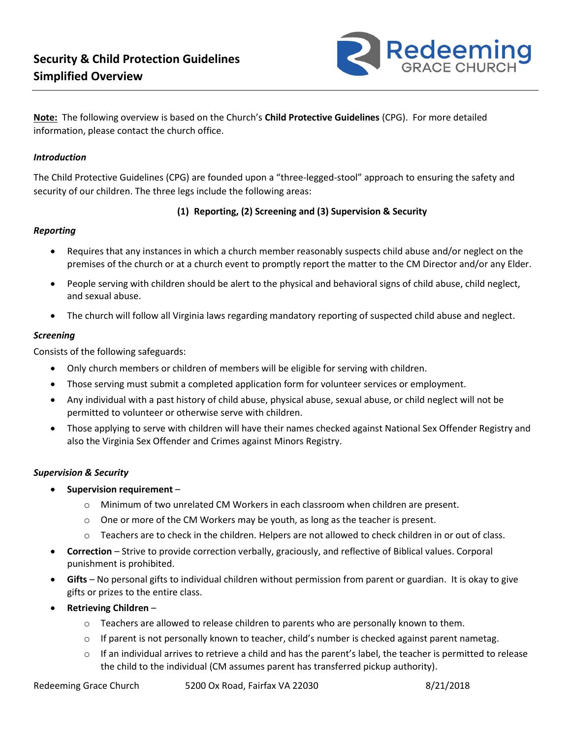

**Note:** The following overview is based on the Church's **Child Protective Guidelines** (CPG). For more detailed information, please contact the church office.

### *Introduction*

The Child Protective Guidelines (CPG) are founded upon a "three-legged-stool" approach to ensuring the safety and security of our children. The three legs include the following areas:

# **(1) Reporting, (2) Screening and (3) Supervision & Security**

# *Reporting*

- Requires that any instances in which a church member reasonably suspects child abuse and/or neglect on the premises of the church or at a church event to promptly report the matter to the CM Director and/or any Elder.
- People serving with children should be alert to the physical and behavioral signs of child abuse, child neglect, and sexual abuse.
- The church will follow all Virginia laws regarding mandatory reporting of suspected child abuse and neglect.

### *Screening*

Consists of the following safeguards:

- Only church members or children of members will be eligible for serving with children.
- Those serving must submit a completed application form for volunteer services or employment.
- Any individual with a past history of child abuse, physical abuse, sexual abuse, or child neglect will not be permitted to volunteer or otherwise serve with children.
- Those applying to serve with children will have their names checked against National Sex Offender Registry and also the Virginia Sex Offender and Crimes against Minors Registry.

# *Supervision & Security*

- **Supervision requirement**
	- o Minimum of two unrelated CM Workers in each classroom when children are present.
	- $\circ$  One or more of the CM Workers may be youth, as long as the teacher is present.
	- $\circ$  Teachers are to check in the children. Helpers are not allowed to check children in or out of class.
- **Correction** Strive to provide correction verbally, graciously, and reflective of Biblical values. Corporal punishment is prohibited.
- **Gifts**  No personal gifts to individual children without permission from parent or guardian. It is okay to give gifts or prizes to the entire class.
- **Retrieving Children**
	- o Teachers are allowed to release children to parents who are personally known to them.
	- $\circ$  If parent is not personally known to teacher, child's number is checked against parent nametag.
	- $\circ$  If an individual arrives to retrieve a child and has the parent's label, the teacher is permitted to release the child to the individual (CM assumes parent has transferred pickup authority).

Redeeming Grace Church 5200 Ox Road, Fairfax VA 22030 8/21/2018